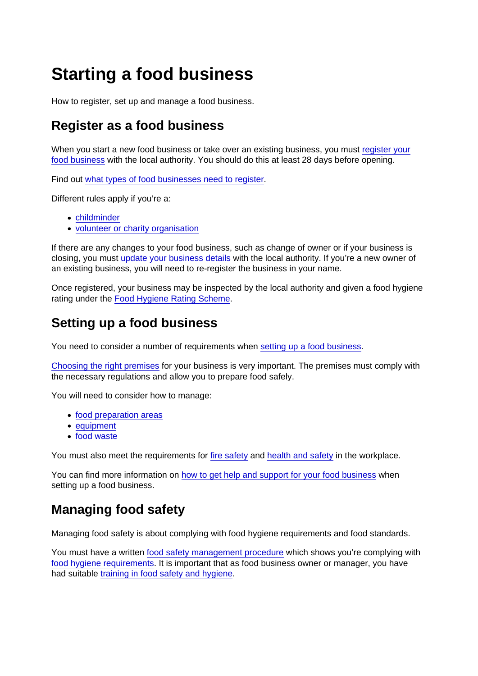# Starting a food business

How to register, set up and manage a food business.

### Register as a food business

When you start a new food business or take over an existing business, you must [register your](https://www.gov.uk/food-business-registration) [food business](https://www.gov.uk/food-business-registration) with the local authority. You should do this at least 28 days before opening.

Find out [what types of food businesses need to register.](https://www.food.gov.uk/business-guidance/register-a-food-business#who-needs-to-register-01)

Different rules apply if you're a:

- [childminder](https://www.food.gov.uk/business-guidance/register-a-food-business#registering-as-a-childminder)
- [volunteer or charity organisation](https://www.food.gov.uk/business-guidance/register-a-food-business#volunteers-and-charity-organisations)

If there are any changes to your food business, such as change of owner or if your business is closing, you must [update your business details](https://www.food.gov.uk/business-guidance/register-a-food-business#updating-your-business-details) with the local authority. If you're a new owner of an existing business, you will need to re-register the business in your name.

Once registered, your business may be inspected by the local authority and given a food hygiene rating under the [Food Hygiene Rating Scheme.](https://www.food.gov.uk/business-guidance/register-a-food-business#food-hygiene-rating-scheme)

#### Setting up a food business

You need to consider a number of requirements when [setting up a food business](https://www.food.gov.uk/business-guidance/setting-up-a-food-business).

[Choosing the right premises](https://www.food.gov.uk/business-guidance/setting-up-a-food-business#choosing-the-right-premises-for-your-business) for your business is very important. The premises must comply with the necessary regulations and allow you to prepare food safely.

You will need to consider how to manage:

- [food preparation areas](https://www.food.gov.uk/business-guidance/setting-up-a-food-business#food-preparation-areas)
- [equipment](https://www.food.gov.uk/business-guidance/setting-up-a-food-business#equipment)
- [food waste](https://www.food.gov.uk/business-guidance/setting-up-a-food-business#waste)

You must also meet the requirements for [fire safety](https://www.food.gov.uk/business-guidance/setting-up-a-food-business#fire-safety) and [health and safety](https://www.food.gov.uk/business-guidance/setting-up-a-food-business#health-and-safety) in the workplace.

You can find more information on [how to get help and support for your food business](https://www.food.gov.uk/business-guidance/setting-up-a-food-business#get-help-and-support-for-your-food-business) when setting up a food business.

## Managing food safety

Managing food safety is about complying with food hygiene requirements and food standards.

You must have a written [food safety management procedure](https://www.food.gov.uk/business-guidance/managing-food-safety#managing-food-safety-procedures) which shows you're complying with [food hygiene requirements.](https://www.food.gov.uk/business-guidance/managing-food-safety#food-hygiene) It is important that as food business owner or manager, you have had suitable [training in food safety and hygiene.](https://www.food.gov.uk/business-guidance/managing-food-safety#training)